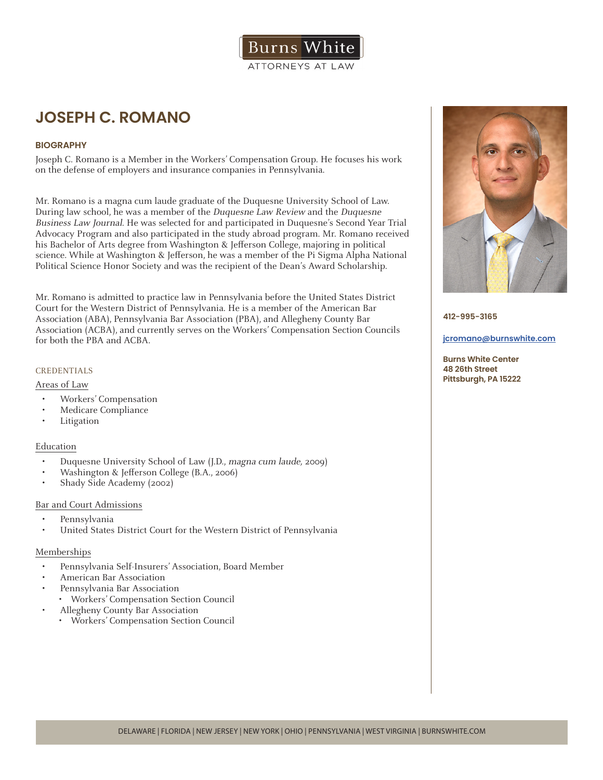

# **JOSEPH C. ROMANO**

# **BIOGRAPHY**

Joseph C. Romano is a Member in the Workers' Compensation Group. He focuses his work on the defense of employers and insurance companies in Pennsylvania.

Mr. Romano is a magna cum laude graduate of the Duquesne University School of Law. During law school, he was a member of the Duquesne Law Review and the Duquesne Business Law Journal. He was selected for and participated in Duquesne's Second Year Trial Advocacy Program and also participated in the study abroad program. Mr. Romano received his Bachelor of Arts degree from Washington & Jefferson College, majoring in political science. While at Washington & Jefferson, he was a member of the Pi Sigma Alpha National Political Science Honor Society and was the recipient of the Dean's Award Scholarship.

Mr. Romano is admitted to practice law in Pennsylvania before the United States District Court for the Western District of Pennsylvania. He is a member of the American Bar Association (ABA), Pennsylvania Bar Association (PBA), and Allegheny County Bar Association (ACBA), and currently serves on the Workers' Compensation Section Councils for both the PBA and ACBA.

## CREDENTIALS

#### Areas of Law

- Workers' Compensation
- Medicare Compliance
- **Litigation**

#### Education

- Duquesne University School of Law (J.D., magna cum laude, 2009)
- Washington & Jefferson College (B.A., 2006)
- Shady Side Academy (2002)

#### Bar and Court Admissions

- Pennsylvania
- United States District Court for the Western District of Pennsylvania

# Memberships

- Pennsylvania Self-Insurers' Association, Board Member
- American Bar Association
- Pennsylvania Bar Association
- Workers' Compensation Section Council
- Allegheny County Bar Association
	- Workers' Compensation Section Council



**412-995-3165**

#### **jcromano@burnswhite.com**

**Burns White Center 48 26th Street Pittsburgh, PA 15222**